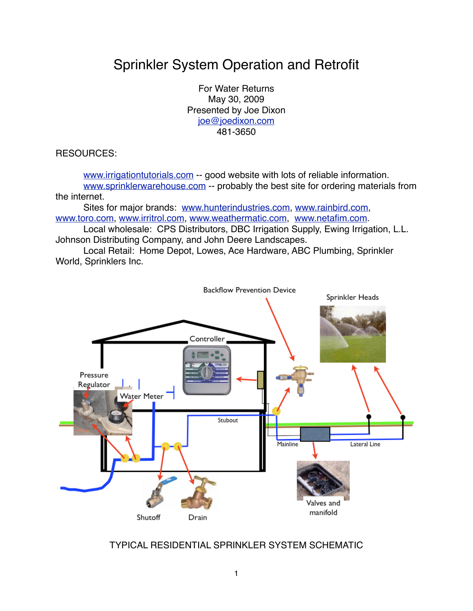# Sprinkler System Operation and Retrofit

For Water Returns May 30, 2009 Presented by Joe Dixon [joe@joedixon.com](mailto:joe@joedixon.com) 481-3650

RESOURCES:

[www.irrigationtutorials.com](http://www.irigationtutorials.com) -- good website with lots of reliable information. [www.sprinklerwarehouse.com](http://www.sprinklerwarehouse.com) -- probably the best site for ordering materials from the internet.

Sites for major brands: [www.hunterindustries.com](http://www.hunterindustries.com), [www.rainbird.com,](http://www.rainbird.com) [www.toro.com](http://www.toro.com), [www.irritrol.com,](http://www.irritrol.com) [www.weathermatic.com](http://www.weathermatic.com), [www.netafim.com](http://www.netafim.com).

Local wholesale: CPS Distributors, DBC Irrigation Supply, Ewing Irrigation, L.L. Johnson Distributing Company, and John Deere Landscapes.

Local Retail: Home Depot, Lowes, Ace Hardware, ABC Plumbing, Sprinkler World, Sprinklers Inc.



TYPICAL RESIDENTIAL SPRINKLER SYSTEM SCHEMATIC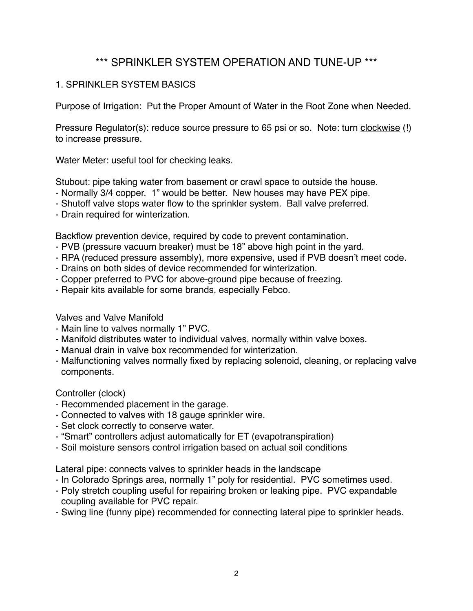# \*\*\* SPRINKLER SYSTEM OPERATION AND TUNE-UP \*\*\*

# 1. SPRINKLER SYSTEM BASICS

Purpose of Irrigation: Put the Proper Amount of Water in the Root Zone when Needed.

Pressure Regulator(s): reduce source pressure to 65 psi or so. Note: turn clockwise (!) to increase pressure.

Water Meter: useful tool for checking leaks.

Stubout: pipe taking water from basement or crawl space to outside the house.

- Normally 3/4 copper. 1" would be better. New houses may have PEX pipe.
- Shutoff valve stops water flow to the sprinkler system. Ball valve preferred.
- Drain required for winterization.

Backflow prevention device, required by code to prevent contamination.

- PVB (pressure vacuum breaker) must be 18" above high point in the yard.
- RPA (reduced pressure assembly), more expensive, used if PVB doesn't meet code.
- Drains on both sides of device recommended for winterization.
- Copper preferred to PVC for above-ground pipe because of freezing.
- Repair kits available for some brands, especially Febco.

Valves and Valve Manifold

- Main line to valves normally 1" PVC.
- Manifold distributes water to individual valves, normally within valve boxes.
- Manual drain in valve box recommended for winterization.
- Malfunctioning valves normally fixed by replacing solenoid, cleaning, or replacing valve components.

Controller (clock)

- Recommended placement in the garage.
- Connected to valves with 18 gauge sprinkler wire.
- Set clock correctly to conserve water.
- "Smart" controllers adjust automatically for ET (evapotranspiration)
- Soil moisture sensors control irrigation based on actual soil conditions

Lateral pipe: connects valves to sprinkler heads in the landscape

- In Colorado Springs area, normally 1" poly for residential. PVC sometimes used.
- Poly stretch coupling useful for repairing broken or leaking pipe. PVC expandable coupling available for PVC repair.
- Swing line (funny pipe) recommended for connecting lateral pipe to sprinkler heads.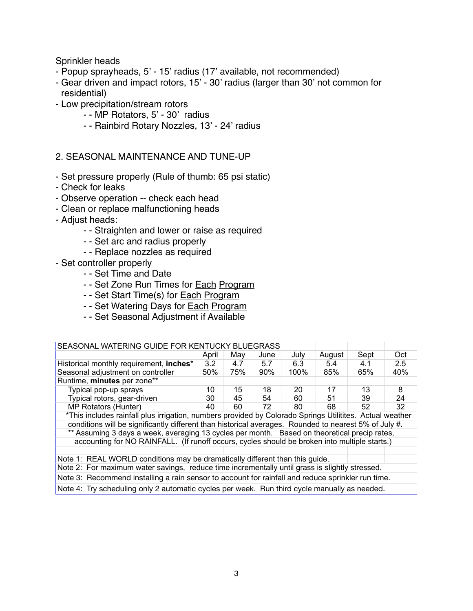Sprinkler heads

- Popup sprayheads, 5' 15' radius (17' available, not recommended)
- Gear driven and impact rotors, 15' 30' radius (larger than 30' not common for residential)
- Low precipitation/stream rotors
	- - MP Rotators, 5' 30' radius
	- - Rainbird Rotary Nozzles, 13' 24' radius

#### 2. SEASONAL MAINTENANCE AND TUNE-UP

- Set pressure properly (Rule of thumb: 65 psi static)
- Check for leaks
- Observe operation -- check each head
- Clean or replace malfunctioning heads
- Adjust heads:
	- - Straighten and lower or raise as required
	- - Set arc and radius properly
	- - Replace nozzles as required
- Set controller properly
	- - Set Time and Date
	- - Set Zone Run Times for Each Program
	- - Set Start Time(s) for **Each Program**
	- - Set Watering Days for **Each Program**
	- - Set Seasonal Adjustment if Available

| SEASONAL WATERING GUIDE FOR KENTUCKY BLUEGRASS                                                           |       |     |      |      |        |      |     |  |  |
|----------------------------------------------------------------------------------------------------------|-------|-----|------|------|--------|------|-----|--|--|
|                                                                                                          | April | Mav | June | July | August | Sept | Oct |  |  |
| Historical monthly requirement, inches*                                                                  | 3.2   | 4.7 | 5.7  | 6.3  | 5.4    | 4.1  | 2.5 |  |  |
| Seasonal adjustment on controller                                                                        | 50%   | 75% | 90%  | 100% | 85%    | 65%  | 40% |  |  |
| Runtime, minutes per zone**                                                                              |       |     |      |      |        |      |     |  |  |
| Typical pop-up sprays                                                                                    | 10    | 15  | 18   | 20   | 17     | 13   | 8   |  |  |
| Typical rotors, gear-driven                                                                              | 30    | 45  | 54   | 60   | 51     | 39   | 24  |  |  |
| MP Rotators (Hunter)                                                                                     | 40    | 60  | 72   | 80   | 68     | 52   | 32  |  |  |
| *This includes rainfall plus irrigation, numbers provided by Colorado Springs Utilitites. Actual weather |       |     |      |      |        |      |     |  |  |
| conditions will be significantly different than historical averages. Rounded to nearest 5% of July #.    |       |     |      |      |        |      |     |  |  |
| ** Assuming 3 days a week, averaging 13 cycles per month. Based on theoretical precip rates,             |       |     |      |      |        |      |     |  |  |
| accounting for NO RAINFALL. (If runoff occurs, cycles should be broken into multiple starts.)            |       |     |      |      |        |      |     |  |  |
|                                                                                                          |       |     |      |      |        |      |     |  |  |
| Note 1: REAL WORLD conditions may be dramatically different than this guide.                             |       |     |      |      |        |      |     |  |  |
| Note 2: For maximum water savings, reduce time incrementally until grass is slightly stressed.           |       |     |      |      |        |      |     |  |  |
| Note 3: Recommend installing a rain sensor to account for rainfall and reduce sprinkler run time.        |       |     |      |      |        |      |     |  |  |
| Note 4: Try scheduling only 2 automatic cycles per week. Run third cycle manually as needed.             |       |     |      |      |        |      |     |  |  |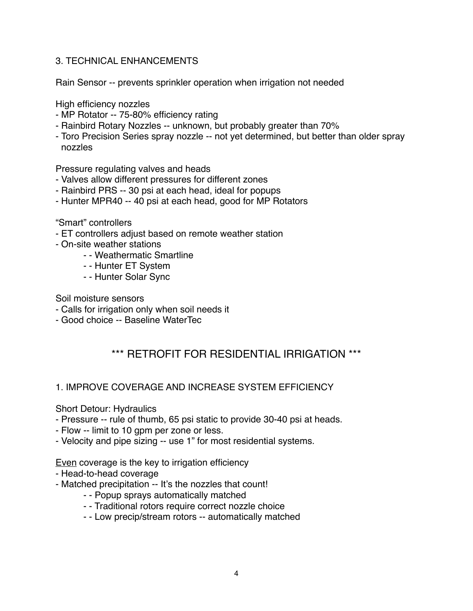# 3. TECHNICAL ENHANCEMENTS

Rain Sensor -- prevents sprinkler operation when irrigation not needed

High efficiency nozzles

- MP Rotator -- 75-80% efficiency rating
- Rainbird Rotary Nozzles -- unknown, but probably greater than 70%
- Toro Precision Series spray nozzle -- not yet determined, but better than older spray nozzles

Pressure regulating valves and heads

- Valves allow different pressures for different zones
- Rainbird PRS -- 30 psi at each head, ideal for popups
- Hunter MPR40 -- 40 psi at each head, good for MP Rotators

"Smart" controllers

- ET controllers adjust based on remote weather station
- On-site weather stations
	- - Weathermatic Smartline
	- - Hunter ET System
	- - Hunter Solar Sync

Soil moisture sensors

- Calls for irrigation only when soil needs it
- Good choice -- Baseline WaterTec

# \*\*\* RETROFIT FOR RESIDENTIAL IRRIGATION \*\*\*

### 1. IMPROVE COVERAGE AND INCREASE SYSTEM EFFICIENCY

#### Short Detour: Hydraulics

- Pressure -- rule of thumb, 65 psi static to provide 30-40 psi at heads.
- Flow -- limit to 10 gpm per zone or less.
- Velocity and pipe sizing -- use 1" for most residential systems.

Even coverage is the key to irrigation efficiency

- Head-to-head coverage
- Matched precipitation -- It's the nozzles that count!
	- - Popup sprays automatically matched
	- - Traditional rotors require correct nozzle choice
	- - Low precip/stream rotors -- automatically matched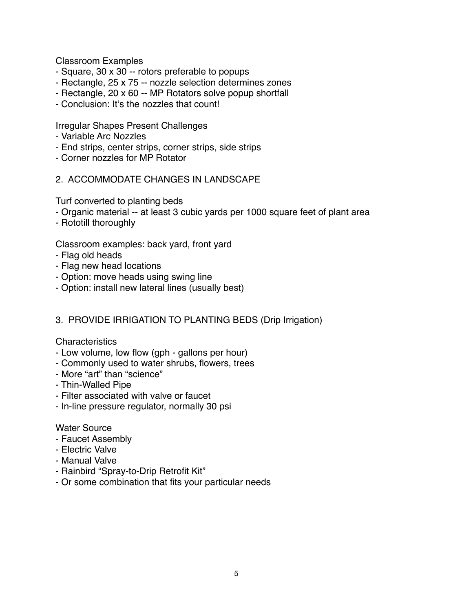Classroom Examples

- Square, 30 x 30 -- rotors preferable to popups
- Rectangle, 25 x 75 -- nozzle selection determines zones
- Rectangle, 20 x 60 -- MP Rotators solve popup shortfall
- Conclusion: It's the nozzles that count!

Irregular Shapes Present Challenges

- Variable Arc Nozzles
- End strips, center strips, corner strips, side strips
- Corner nozzles for MP Rotator
- 2. ACCOMMODATE CHANGES IN LANDSCAPE

Turf converted to planting beds

- Organic material -- at least 3 cubic yards per 1000 square feet of plant area
- Rototill thoroughly

Classroom examples: back yard, front yard

- Flag old heads
- Flag new head locations
- Option: move heads using swing line
- Option: install new lateral lines (usually best)

# 3. PROVIDE IRRIGATION TO PLANTING BEDS (Drip Irrigation)

#### **Characteristics**

- Low volume, low flow (gph gallons per hour)
- Commonly used to water shrubs, flowers, trees
- More "art" than "science"
- Thin-Walled Pipe
- Filter associated with valve or faucet
- In-line pressure regulator, normally 30 psi

#### Water Source

- Faucet Assembly
- Electric Valve
- Manual Valve
- Rainbird "Spray-to-Drip Retrofit Kit"
- Or some combination that fits your particular needs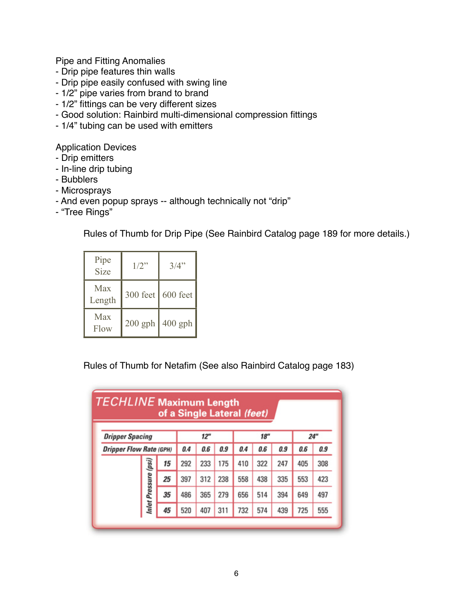Pipe and Fitting Anomalies

- Drip pipe features thin walls
- Drip pipe easily confused with swing line
- 1/2" pipe varies from brand to brand
- 1/2" fittings can be very different sizes
- Good solution: Rainbird multi-dimensional compression fittings
- 1/4" tubing can be used with emitters

Application Devices

- Drip emitters
- In-line drip tubing
- Bubblers
- Microsprays
- And even popup sprays -- although technically not "drip"
- "Tree Rings"

Rules of Thumb for Drip Pipe (See Rainbird Catalog page 189 for more details.)

| Pipe<br><b>Size</b> | $1/2$ "   | 3/4"      |
|---------------------|-----------|-----------|
| Max<br>Length       | 300 feet  | 600 feet  |
| Max<br>Flow         | $200$ gph | $400$ gph |

Rules of Thumb for Netafim (See also Rainbird Catalog page 183)

|                                                          |                      |     |     |     | of a Single Lateral (feet) |     |     |     |     |     |
|----------------------------------------------------------|----------------------|-----|-----|-----|----------------------------|-----|-----|-----|-----|-----|
| <b>Dripper Spacing</b><br><b>Dripper Flow Rate (GPH)</b> |                      | 12" |     |     | 18"                        |     |     | 24" |     |     |
|                                                          |                      | 0.4 | 0.6 | 0.9 | 0.4                        | 0.6 | 0.9 | 0.6 | 0.9 |     |
|                                                          |                      | 15  | 292 | 233 | 175                        | 410 | 322 | 247 | 405 | 308 |
|                                                          |                      | 25  | 397 | 312 | 238                        | 558 | 438 | 335 | 553 | 423 |
|                                                          | Inlet Pressure (psi) | 35  | 486 | 365 | 279                        | 656 | 514 | 394 | 649 | 497 |
|                                                          |                      | 45  | 520 | 407 | 311                        | 732 | 574 | 439 | 725 | 555 |